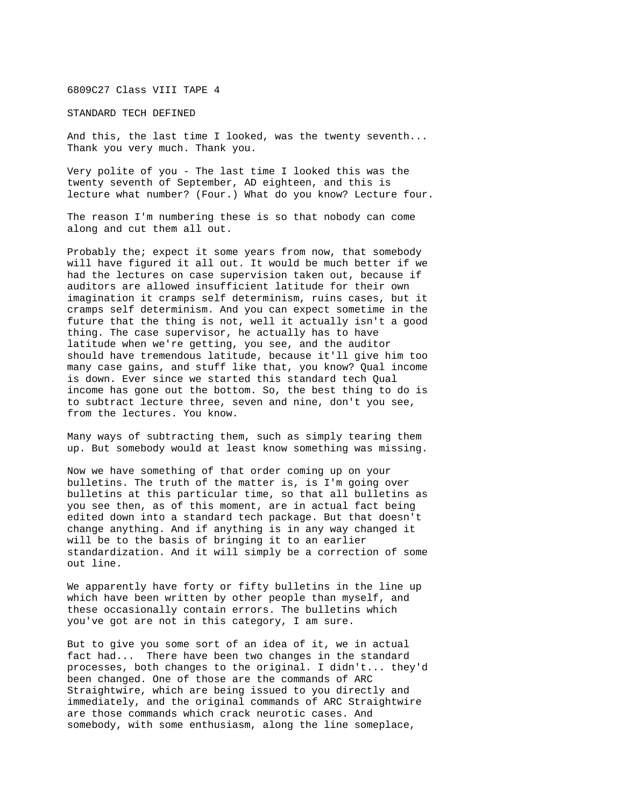6809C27 Class VIII TAPE 4

STANDARD TECH DEFINED

And this, the last time I looked, was the twenty seventh... Thank you very much. Thank you.

Very polite of you - The last time I looked this was the twenty seventh of September, AD eighteen, and this is lecture what number? (Four.) What do you know? Lecture four.

The reason I'm numbering these is so that nobody can come along and cut them all out.

Probably the; expect it some years from now, that somebody will have figured it all out. It would be much better if we had the lectures on case supervision taken out, because if auditors are allowed insufficient latitude for their own imagination it cramps self determinism, ruins cases, but it cramps self determinism. And you can expect sometime in the future that the thing is not, well it actually isn't a good thing. The case supervisor, he actually has to have latitude when we're getting, you see, and the auditor should have tremendous latitude, because it'll give him too many case gains, and stuff like that, you know? Qual income is down. Ever since we started this standard tech Qual income has gone out the bottom. So, the best thing to do is to subtract lecture three, seven and nine, don't you see, from the lectures. You know.

Many ways of subtracting them, such as simply tearing them up. But somebody would at least know something was missing.

Now we have something of that order coming up on your bulletins. The truth of the matter is, is I'm going over bulletins at this particular time, so that all bulletins as you see then, as of this moment, are in actual fact being edited down into a standard tech package. But that doesn't change anything. And if anything is in any way changed it will be to the basis of bringing it to an earlier standardization. And it will simply be a correction of some out line.

We apparently have forty or fifty bulletins in the line up which have been written by other people than myself, and these occasionally contain errors. The bulletins which you've got are not in this category, I am sure.

But to give you some sort of an idea of it, we in actual fact had... There have been two changes in the standard processes, both changes to the original. I didn't... they'd been changed. One of those are the commands of ARC Straightwire, which are being issued to you directly and immediately, and the original commands of ARC Straightwire are those commands which crack neurotic cases. And somebody, with some enthusiasm, along the line someplace,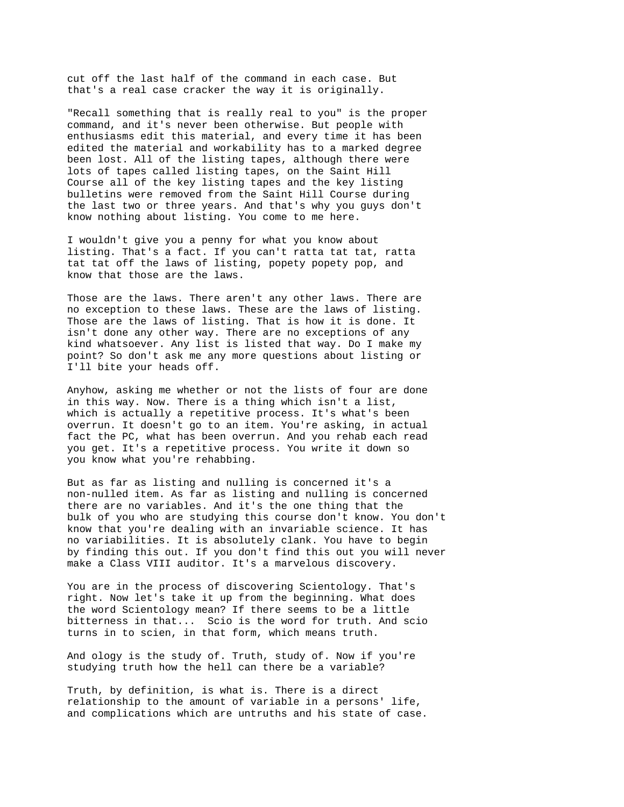cut off the last half of the command in each case. But that's a real case cracker the way it is originally.

"Recall something that is really real to you" is the proper command, and it's never been otherwise. But people with enthusiasms edit this material, and every time it has been edited the material and workability has to a marked degree been lost. All of the listing tapes, although there were lots of tapes called listing tapes, on the Saint Hill Course all of the key listing tapes and the key listing bulletins were removed from the Saint Hill Course during the last two or three years. And that's why you guys don't know nothing about listing. You come to me here.

I wouldn't give you a penny for what you know about listing. That's a fact. If you can't ratta tat tat, ratta tat tat off the laws of listing, popety popety pop, and know that those are the laws.

Those are the laws. There aren't any other laws. There are no exception to these laws. These are the laws of listing. Those are the laws of listing. That is how it is done. It isn't done any other way. There are no exceptions of any kind whatsoever. Any list is listed that way. Do I make my point? So don't ask me any more questions about listing or I'll bite your heads off.

Anyhow, asking me whether or not the lists of four are done in this way. Now. There is a thing which isn't a list, which is actually a repetitive process. It's what's been overrun. It doesn't go to an item. You're asking, in actual fact the PC, what has been overrun. And you rehab each read you get. It's a repetitive process. You write it down so you know what you're rehabbing.

But as far as listing and nulling is concerned it's a non-nulled item. As far as listing and nulling is concerned there are no variables. And it's the one thing that the bulk of you who are studying this course don't know. You don't know that you're dealing with an invariable science. It has no variabilities. It is absolutely clank. You have to begin by finding this out. If you don't find this out you will never make a Class VIII auditor. It's a marvelous discovery.

You are in the process of discovering Scientology. That's right. Now let's take it up from the beginning. What does the word Scientology mean? If there seems to be a little bitterness in that... Scio is the word for truth. And scio turns in to scien, in that form, which means truth.

And ology is the study of. Truth, study of. Now if you're studying truth how the hell can there be a variable?

Truth, by definition, is what is. There is a direct relationship to the amount of variable in a persons' life, and complications which are untruths and his state of case.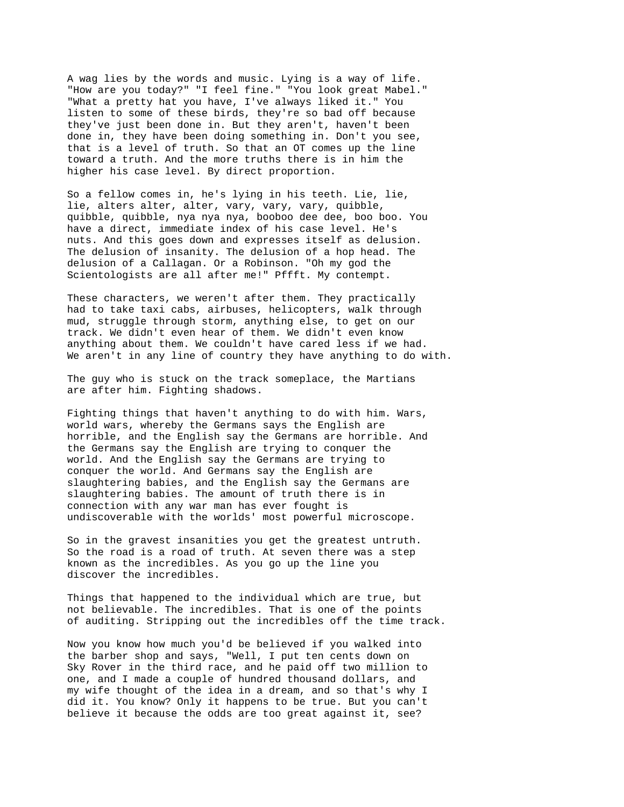A wag lies by the words and music. Lying is a way of life. "How are you today?" "I feel fine." "You look great Mabel." "What a pretty hat you have, I've always liked it." You listen to some of these birds, they're so bad off because they've just been done in. But they aren't, haven't been done in, they have been doing something in. Don't you see, that is a level of truth. So that an OT comes up the line toward a truth. And the more truths there is in him the higher his case level. By direct proportion.

So a fellow comes in, he's lying in his teeth. Lie, lie, lie, alters alter, alter, vary, vary, vary, quibble, quibble, quibble, nya nya nya, booboo dee dee, boo boo. You have a direct, immediate index of his case level. He's nuts. And this goes down and expresses itself as delusion. The delusion of insanity. The delusion of a hop head. The delusion of a Callagan. Or a Robinson. "Oh my god the Scientologists are all after me!" Pffft. My contempt.

These characters, we weren't after them. They practically had to take taxi cabs, airbuses, helicopters, walk through mud, struggle through storm, anything else, to get on our track. We didn't even hear of them. We didn't even know anything about them. We couldn't have cared less if we had. We aren't in any line of country they have anything to do with.

The guy who is stuck on the track someplace, the Martians are after him. Fighting shadows.

Fighting things that haven't anything to do with him. Wars, world wars, whereby the Germans says the English are horrible, and the English say the Germans are horrible. And the Germans say the English are trying to conquer the world. And the English say the Germans are trying to conquer the world. And Germans say the English are slaughtering babies, and the English say the Germans are slaughtering babies. The amount of truth there is in connection with any war man has ever fought is undiscoverable with the worlds' most powerful microscope.

So in the gravest insanities you get the greatest untruth. So the road is a road of truth. At seven there was a step known as the incredibles. As you go up the line you discover the incredibles.

Things that happened to the individual which are true, but not believable. The incredibles. That is one of the points of auditing. Stripping out the incredibles off the time track.

Now you know how much you'd be believed if you walked into the barber shop and says, "Well, I put ten cents down on Sky Rover in the third race, and he paid off two million to one, and I made a couple of hundred thousand dollars, and my wife thought of the idea in a dream, and so that's why I did it. You know? Only it happens to be true. But you can't believe it because the odds are too great against it, see?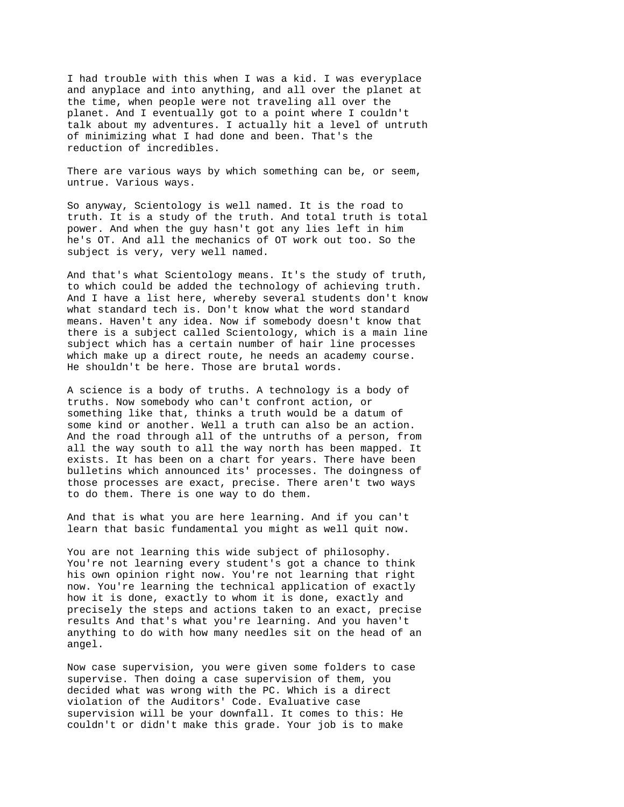I had trouble with this when I was a kid. I was everyplace and anyplace and into anything, and all over the planet at the time, when people were not traveling all over the planet. And I eventually got to a point where I couldn't talk about my adventures. I actually hit a level of untruth of minimizing what I had done and been. That's the reduction of incredibles.

There are various ways by which something can be, or seem, untrue. Various ways.

So anyway, Scientology is well named. It is the road to truth. It is a study of the truth. And total truth is total power. And when the guy hasn't got any lies left in him he's OT. And all the mechanics of OT work out too. So the subject is very, very well named.

And that's what Scientology means. It's the study of truth, to which could be added the technology of achieving truth. And I have a list here, whereby several students don't know what standard tech is. Don't know what the word standard means. Haven't any idea. Now if somebody doesn't know that there is a subject called Scientology, which is a main line subject which has a certain number of hair line processes which make up a direct route, he needs an academy course. He shouldn't be here. Those are brutal words.

A science is a body of truths. A technology is a body of truths. Now somebody who can't confront action, or something like that, thinks a truth would be a datum of some kind or another. Well a truth can also be an action. And the road through all of the untruths of a person, from all the way south to all the way north has been mapped. It exists. It has been on a chart for years. There have been bulletins which announced its' processes. The doingness of those processes are exact, precise. There aren't two ways to do them. There is one way to do them.

And that is what you are here learning. And if you can't learn that basic fundamental you might as well quit now.

You are not learning this wide subject of philosophy. You're not learning every student's got a chance to think his own opinion right now. You're not learning that right now. You're learning the technical application of exactly how it is done, exactly to whom it is done, exactly and precisely the steps and actions taken to an exact, precise results And that's what you're learning. And you haven't anything to do with how many needles sit on the head of an angel.

Now case supervision, you were given some folders to case supervise. Then doing a case supervision of them, you decided what was wrong with the PC. Which is a direct violation of the Auditors' Code. Evaluative case supervision will be your downfall. It comes to this: He couldn't or didn't make this grade. Your job is to make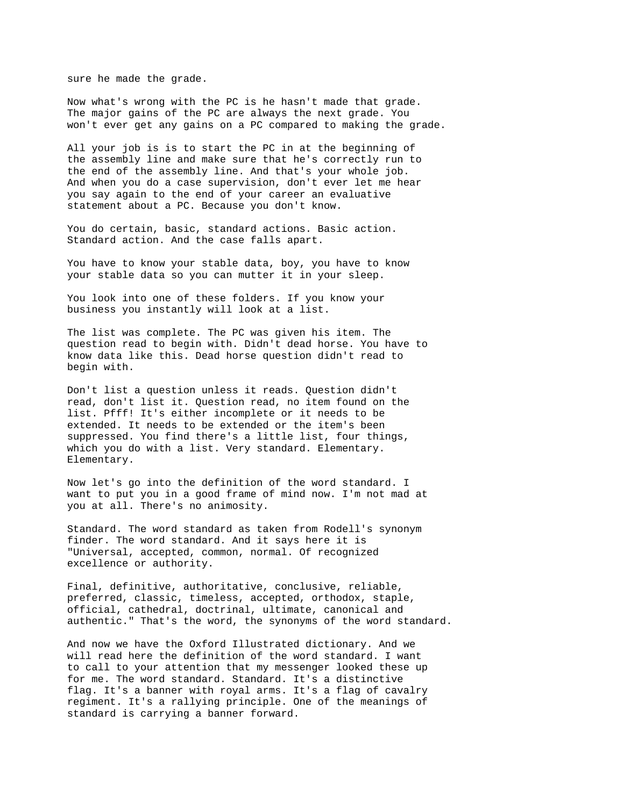sure he made the grade.

Now what's wrong with the PC is he hasn't made that grade. The major gains of the PC are always the next grade. You won't ever get any gains on a PC compared to making the grade.

All your job is is to start the PC in at the beginning of the assembly line and make sure that he's correctly run to the end of the assembly line. And that's your whole job. And when you do a case supervision, don't ever let me hear you say again to the end of your career an evaluative statement about a PC. Because you don't know.

You do certain, basic, standard actions. Basic action. Standard action. And the case falls apart.

You have to know your stable data, boy, you have to know your stable data so you can mutter it in your sleep.

You look into one of these folders. If you know your business you instantly will look at a list.

The list was complete. The PC was given his item. The question read to begin with. Didn't dead horse. You have to know data like this. Dead horse question didn't read to begin with.

Don't list a question unless it reads. Question didn't read, don't list it. Question read, no item found on the list. Pfff! It's either incomplete or it needs to be extended. It needs to be extended or the item's been suppressed. You find there's a little list, four things, which you do with a list. Very standard. Elementary. Elementary.

Now let's go into the definition of the word standard. I want to put you in a good frame of mind now. I'm not mad at you at all. There's no animosity.

Standard. The word standard as taken from Rodell's synonym finder. The word standard. And it says here it is "Universal, accepted, common, normal. Of recognized excellence or authority.

Final, definitive, authoritative, conclusive, reliable, preferred, classic, timeless, accepted, orthodox, staple, official, cathedral, doctrinal, ultimate, canonical and authentic." That's the word, the synonyms of the word standard.

And now we have the Oxford Illustrated dictionary. And we will read here the definition of the word standard. I want to call to your attention that my messenger looked these up for me. The word standard. Standard. It's a distinctive flag. It's a banner with royal arms. It's a flag of cavalry regiment. It's a rallying principle. One of the meanings of standard is carrying a banner forward.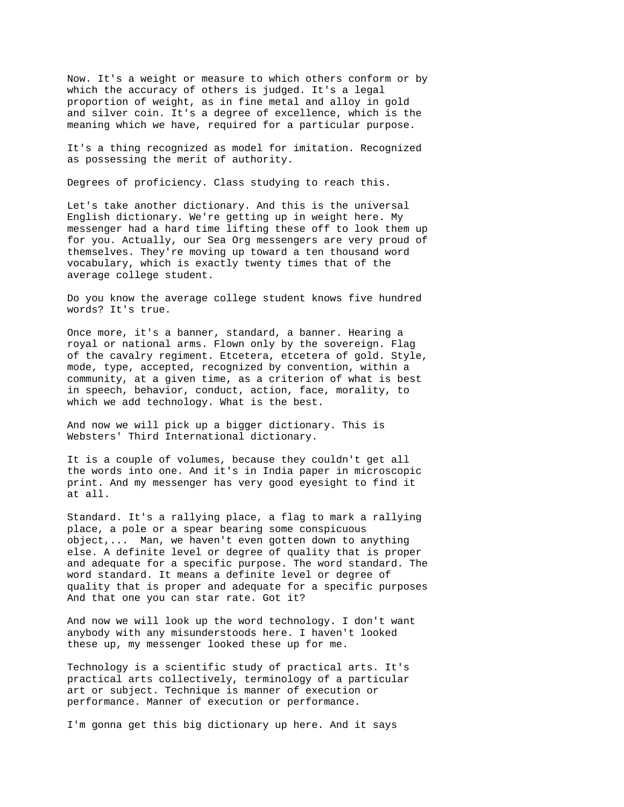Now. It's a weight or measure to which others conform or by which the accuracy of others is judged. It's a legal proportion of weight, as in fine metal and alloy in gold and silver coin. It's a degree of excellence, which is the meaning which we have, required for a particular purpose.

It's a thing recognized as model for imitation. Recognized as possessing the merit of authority.

Degrees of proficiency. Class studying to reach this.

Let's take another dictionary. And this is the universal English dictionary. We're getting up in weight here. My messenger had a hard time lifting these off to look them up for you. Actually, our Sea Org messengers are very proud of themselves. They're moving up toward a ten thousand word vocabulary, which is exactly twenty times that of the average college student.

Do you know the average college student knows five hundred words? It's true.

Once more, it's a banner, standard, a banner. Hearing a royal or national arms. Flown only by the sovereign. Flag of the cavalry regiment. Etcetera, etcetera of gold. Style, mode, type, accepted, recognized by convention, within a community, at a given time, as a criterion of what is best in speech, behavior, conduct, action, face, morality, to which we add technology. What is the best.

And now we will pick up a bigger dictionary. This is Websters' Third International dictionary.

It is a couple of volumes, because they couldn't get all the words into one. And it's in India paper in microscopic print. And my messenger has very good eyesight to find it at all.

Standard. It's a rallying place, a flag to mark a rallying place, a pole or a spear bearing some conspicuous object,... Man, we haven't even gotten down to anything else. A definite level or degree of quality that is proper and adequate for a specific purpose. The word standard. The word standard. It means a definite level or degree of quality that is proper and adequate for a specific purposes And that one you can star rate. Got it?

And now we will look up the word technology. I don't want anybody with any misunderstoods here. I haven't looked these up, my messenger looked these up for me.

Technology is a scientific study of practical arts. It's practical arts collectively, terminology of a particular art or subject. Technique is manner of execution or performance. Manner of execution or performance.

I'm gonna get this big dictionary up here. And it says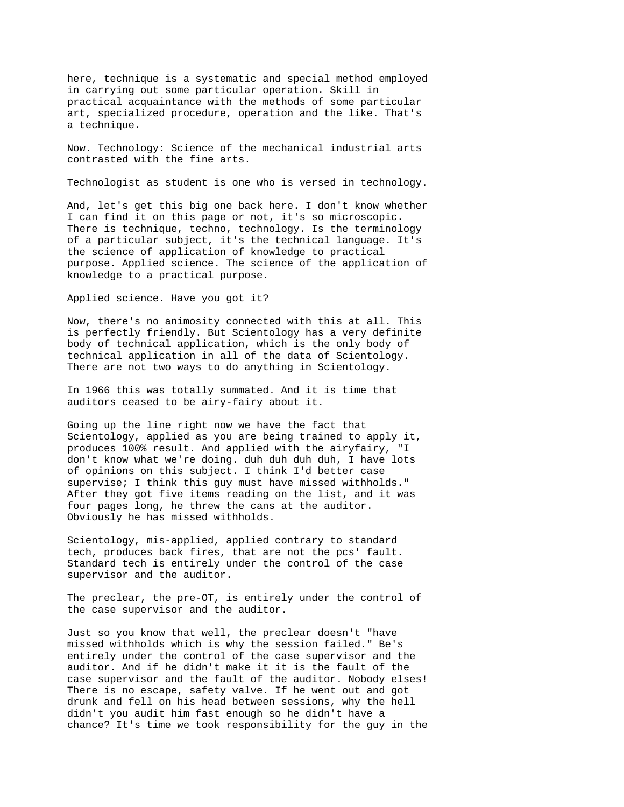here, technique is a systematic and special method employed in carrying out some particular operation. Skill in practical acquaintance with the methods of some particular art, specialized procedure, operation and the like. That's a technique.

Now. Technology: Science of the mechanical industrial arts contrasted with the fine arts.

Technologist as student is one who is versed in technology.

And, let's get this big one back here. I don't know whether I can find it on this page or not, it's so microscopic. There is technique, techno, technology. Is the terminology of a particular subject, it's the technical language. It's the science of application of knowledge to practical purpose. Applied science. The science of the application of knowledge to a practical purpose.

## Applied science. Have you got it?

Now, there's no animosity connected with this at all. This is perfectly friendly. But Scientology has a very definite body of technical application, which is the only body of technical application in all of the data of Scientology. There are not two ways to do anything in Scientology.

In 1966 this was totally summated. And it is time that auditors ceased to be airy-fairy about it.

Going up the line right now we have the fact that Scientology, applied as you are being trained to apply it, produces 100% result. And applied with the airyfairy, "I don't know what we're doing. duh duh duh duh, I have lots of opinions on this subject. I think I'd better case supervise; I think this quy must have missed withholds." After they got five items reading on the list, and it was four pages long, he threw the cans at the auditor. Obviously he has missed withholds.

Scientology, mis-applied, applied contrary to standard tech, produces back fires, that are not the pcs' fault. Standard tech is entirely under the control of the case supervisor and the auditor.

The preclear, the pre-OT, is entirely under the control of the case supervisor and the auditor.

Just so you know that well, the preclear doesn't "have missed withholds which is why the session failed." Be's entirely under the control of the case supervisor and the auditor. And if he didn't make it it is the fault of the case supervisor and the fault of the auditor. Nobody elses! There is no escape, safety valve. If he went out and got drunk and fell on his head between sessions, why the hell didn't you audit him fast enough so he didn't have a chance? It's time we took responsibility for the guy in the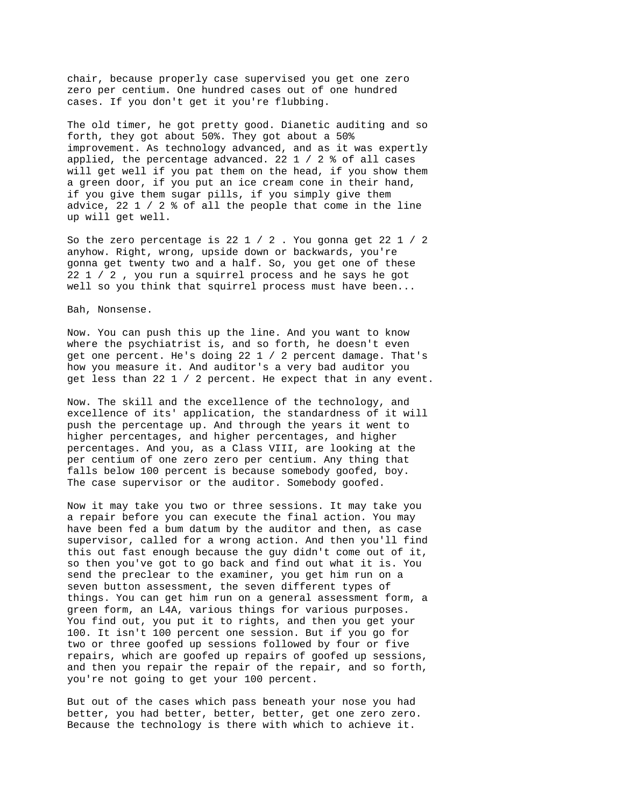chair, because properly case supervised you get one zero zero per centium. One hundred cases out of one hundred cases. If you don't get it you're flubbing.

The old timer, he got pretty good. Dianetic auditing and so forth, they got about 50%. They got about a 50% improvement. As technology advanced, and as it was expertly applied, the percentage advanced. 22 1 / 2 % of all cases will get well if you pat them on the head, if you show them a green door, if you put an ice cream cone in their hand, if you give them sugar pills, if you simply give them advice, 22 1 / 2 % of all the people that come in the line up will get well.

So the zero percentage is 22 1 / 2 . You gonna get 22 1 / 2 anyhow. Right, wrong, upside down or backwards, you're gonna get twenty two and a half. So, you get one of these 22 1 / 2 , you run a squirrel process and he says he got well so you think that squirrel process must have been...

Bah, Nonsense.

Now. You can push this up the line. And you want to know where the psychiatrist is, and so forth, he doesn't even get one percent. He's doing 22 1 / 2 percent damage. That's how you measure it. And auditor's a very bad auditor you get less than 22 1 / 2 percent. He expect that in any event.

Now. The skill and the excellence of the technology, and excellence of its' application, the standardness of it will push the percentage up. And through the years it went to higher percentages, and higher percentages, and higher percentages. And you, as a Class VIII, are looking at the per centium of one zero zero per centium. Any thing that falls below 100 percent is because somebody goofed, boy. The case supervisor or the auditor. Somebody goofed.

Now it may take you two or three sessions. It may take you a repair before you can execute the final action. You may have been fed a bum datum by the auditor and then, as case supervisor, called for a wrong action. And then you'll find this out fast enough because the guy didn't come out of it, so then you've got to go back and find out what it is. You send the preclear to the examiner, you get him run on a seven button assessment, the seven different types of things. You can get him run on a general assessment form, a green form, an L4A, various things for various purposes. You find out, you put it to rights, and then you get your 100. It isn't 100 percent one session. But if you go for two or three goofed up sessions followed by four or five repairs, which are goofed up repairs of goofed up sessions, and then you repair the repair of the repair, and so forth, you're not going to get your 100 percent.

But out of the cases which pass beneath your nose you had better, you had better, better, better, get one zero zero. Because the technology is there with which to achieve it.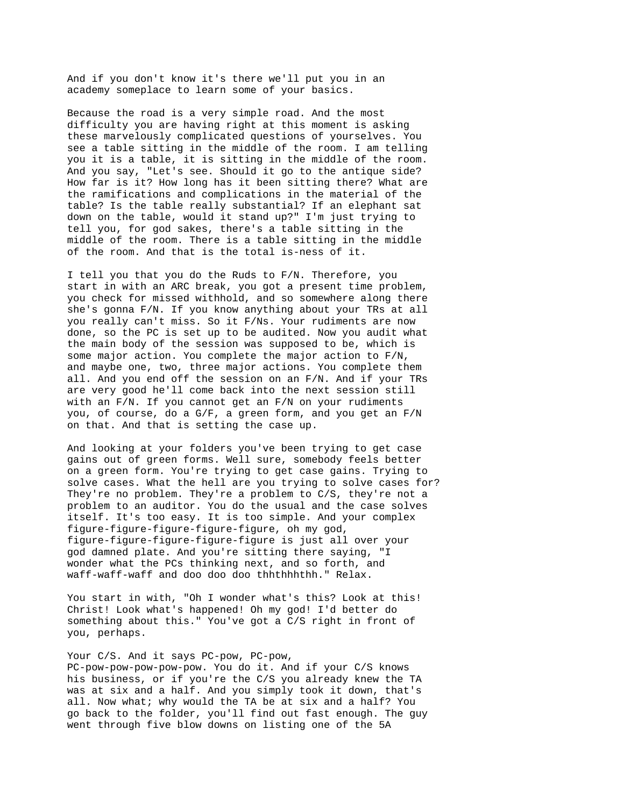And if you don't know it's there we'll put you in an academy someplace to learn some of your basics.

Because the road is a very simple road. And the most difficulty you are having right at this moment is asking these marvelously complicated questions of yourselves. You see a table sitting in the middle of the room. I am telling you it is a table, it is sitting in the middle of the room. And you say, "Let's see. Should it go to the antique side? How far is it? How long has it been sitting there? What are the ramifications and complications in the material of the table? Is the table really substantial? If an elephant sat down on the table, would it stand up?" I'm just trying to tell you, for god sakes, there's a table sitting in the middle of the room. There is a table sitting in the middle of the room. And that is the total is-ness of it.

I tell you that you do the Ruds to F/N. Therefore, you start in with an ARC break, you got a present time problem, you check for missed withhold, and so somewhere along there she's gonna F/N. If you know anything about your TRs at all you really can't miss. So it F/Ns. Your rudiments are now done, so the PC is set up to be audited. Now you audit what the main body of the session was supposed to be, which is some major action. You complete the major action to F/N, and maybe one, two, three major actions. You complete them all. And you end off the session on an F/N. And if your TRs are very good he'll come back into the next session still with an F/N. If you cannot get an F/N on your rudiments you, of course, do a G/F, a green form, and you get an F/N on that. And that is setting the case up.

And looking at your folders you've been trying to get case gains out of green forms. Well sure, somebody feels better on a green form. You're trying to get case gains. Trying to solve cases. What the hell are you trying to solve cases for? They're no problem. They're a problem to C/S, they're not a problem to an auditor. You do the usual and the case solves itself. It's too easy. It is too simple. And your complex figure-figure-figure-figure-figure, oh my god, figure-figure-figure-figure-figure is just all over your god damned plate. And you're sitting there saying, "I wonder what the PCs thinking next, and so forth, and waff-waff-waff and doo doo doo thhthhhthh." Relax.

You start in with, "Oh I wonder what's this? Look at this! Christ! Look what's happened! Oh my god! I'd better do something about this." You've got a C/S right in front of you, perhaps.

## Your C/S. And it says PC-pow, PC-pow,

PC-pow-pow-pow-pow-pow. You do it. And if your C/S knows his business, or if you're the C/S you already knew the TA was at six and a half. And you simply took it down, that's all. Now what; why would the TA be at six and a half? You go back to the folder, you'll find out fast enough. The guy went through five blow downs on listing one of the 5A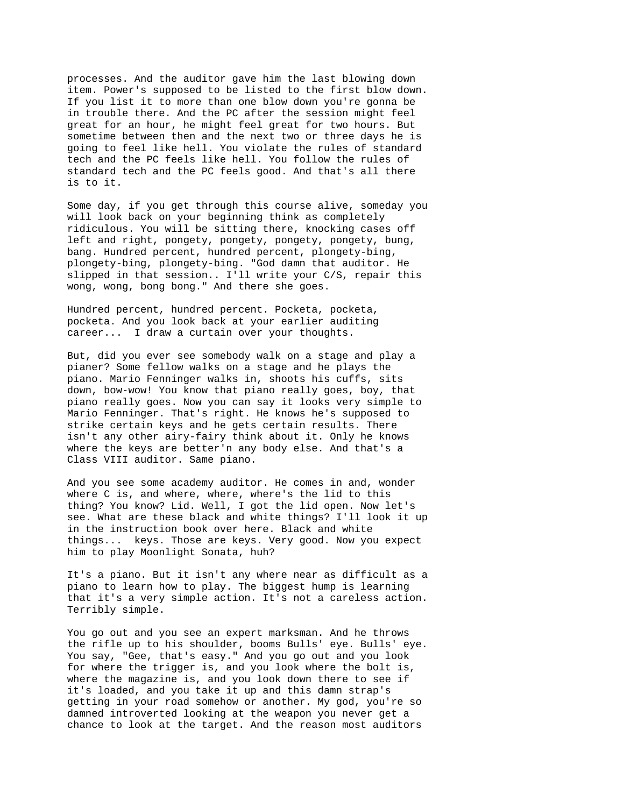processes. And the auditor gave him the last blowing down item. Power's supposed to be listed to the first blow down. If you list it to more than one blow down you're gonna be in trouble there. And the PC after the session might feel great for an hour, he might feel great for two hours. But sometime between then and the next two or three days he is going to feel like hell. You violate the rules of standard tech and the PC feels like hell. You follow the rules of standard tech and the PC feels good. And that's all there is to it.

Some day, if you get through this course alive, someday you will look back on your beginning think as completely ridiculous. You will be sitting there, knocking cases off left and right, pongety, pongety, pongety, pongety, bung, bang. Hundred percent, hundred percent, plongety-bing, plongety-bing, plongety-bing. "God damn that auditor. He slipped in that session.. I'll write your C/S, repair this wong, wong, bong bong." And there she goes.

Hundred percent, hundred percent. Pocketa, pocketa, pocketa. And you look back at your earlier auditing career... I draw a curtain over your thoughts.

But, did you ever see somebody walk on a stage and play a pianer? Some fellow walks on a stage and he plays the piano. Mario Fenninger walks in, shoots his cuffs, sits down, bow-wow! You know that piano really goes, boy, that piano really goes. Now you can say it looks very simple to Mario Fenninger. That's right. He knows he's supposed to strike certain keys and he gets certain results. There isn't any other airy-fairy think about it. Only he knows where the keys are better'n any body else. And that's a Class VIII auditor. Same piano.

And you see some academy auditor. He comes in and, wonder where C is, and where, where, where's the lid to this thing? You know? Lid. Well, I got the lid open. Now let's see. What are these black and white things? I'll look it up in the instruction book over here. Black and white things... keys. Those are keys. Very good. Now you expect him to play Moonlight Sonata, huh?

It's a piano. But it isn't any where near as difficult as a piano to learn how to play. The biggest hump is learning that it's a very simple action. It's not a careless action. Terribly simple.

You go out and you see an expert marksman. And he throws the rifle up to his shoulder, booms Bulls' eye. Bulls' eye. You say, "Gee, that's easy." And you go out and you look for where the trigger is, and you look where the bolt is, where the magazine is, and you look down there to see if it's loaded, and you take it up and this damn strap's getting in your road somehow or another. My god, you're so damned introverted looking at the weapon you never get a chance to look at the target. And the reason most auditors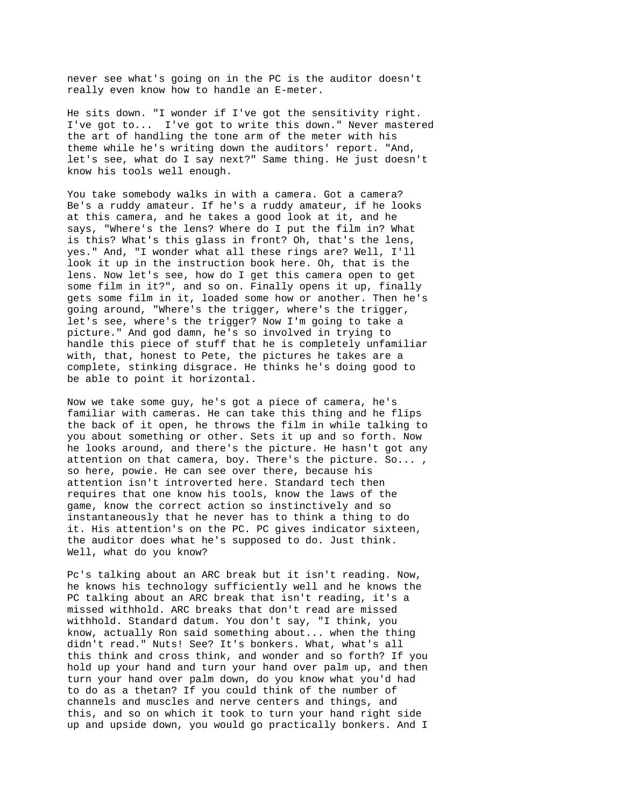never see what's going on in the PC is the auditor doesn't really even know how to handle an E-meter.

He sits down. "I wonder if I've got the sensitivity right. I've got to... I've got to write this down." Never mastered the art of handling the tone arm of the meter with his theme while he's writing down the auditors' report. "And, let's see, what do I say next?" Same thing. He just doesn't know his tools well enough.

You take somebody walks in with a camera. Got a camera? Be's a ruddy amateur. If he's a ruddy amateur, if he looks at this camera, and he takes a good look at it, and he says, "Where's the lens? Where do I put the film in? What is this? What's this glass in front? Oh, that's the lens, yes." And, "I wonder what all these rings are? Well, I'll look it up in the instruction book here. Oh, that is the lens. Now let's see, how do I get this camera open to get some film in it?", and so on. Finally opens it up, finally gets some film in it, loaded some how or another. Then he's going around, "Where's the trigger, where's the trigger, let's see, where's the trigger? Now I'm going to take a picture." And god damn, he's so involved in trying to handle this piece of stuff that he is completely unfamiliar with, that, honest to Pete, the pictures he takes are a complete, stinking disgrace. He thinks he's doing good to be able to point it horizontal.

Now we take some guy, he's got a piece of camera, he's familiar with cameras. He can take this thing and he flips the back of it open, he throws the film in while talking to you about something or other. Sets it up and so forth. Now he looks around, and there's the picture. He hasn't got any attention on that camera, boy. There's the picture. So... , so here, powie. He can see over there, because his attention isn't introverted here. Standard tech then requires that one know his tools, know the laws of the game, know the correct action so instinctively and so instantaneously that he never has to think a thing to do it. His attention's on the PC. PC gives indicator sixteen, the auditor does what he's supposed to do. Just think. Well, what do you know?

Pc's talking about an ARC break but it isn't reading. Now, he knows his technology sufficiently well and he knows the PC talking about an ARC break that isn't reading, it's a missed withhold. ARC breaks that don't read are missed withhold. Standard datum. You don't say, "I think, you know, actually Ron said something about... when the thing didn't read." Nuts! See? It's bonkers. What, what's all this think and cross think, and wonder and so forth? If you hold up your hand and turn your hand over palm up, and then turn your hand over palm down, do you know what you'd had to do as a thetan? If you could think of the number of channels and muscles and nerve centers and things, and this, and so on which it took to turn your hand right side up and upside down, you would go practically bonkers. And I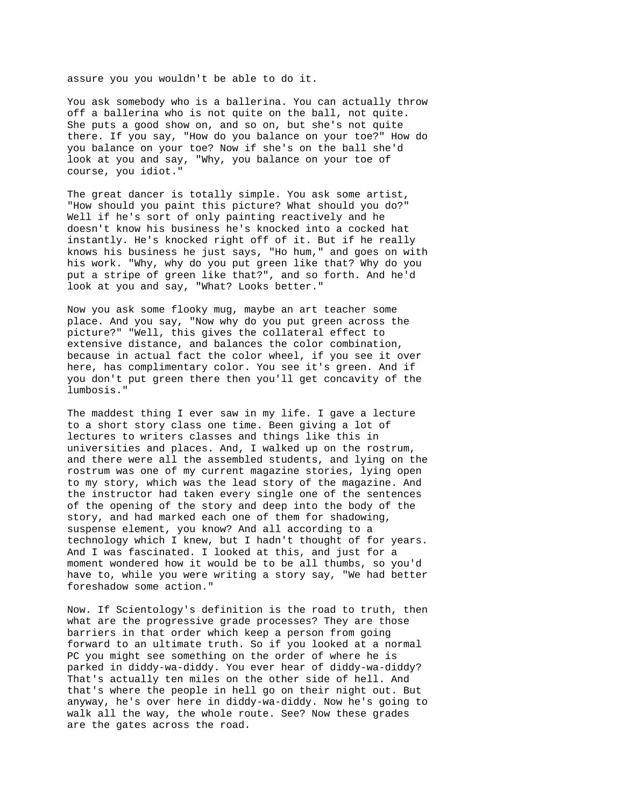assure you you wouldn't be able to do it.

You ask somebody who is a ballerina. You can actually throw off a ballerina who is not quite on the ball, not quite. She puts a good show on, and so on, but she's not quite there. If you say, "How do you balance on your toe?" How do you balance on your toe? Now if she's on the ball she'd look at you and say, "Why, you balance on your toe of course, you idiot."

The great dancer is totally simple. You ask some artist, "How should you paint this picture? What should you do?" Well if he's sort of only painting reactively and he doesn't know his business he's knocked into a cocked hat instantly. He's knocked right off of it. But if he really knows his business he just says, "Ho hum," and goes on with his work. "Why, why do you put green like that? Why do you put a stripe of green like that?", and so forth. And he'd look at you and say, "What? Looks better."

Now you ask some flooky mug, maybe an art teacher some place. And you say, "Now why do you put green across the picture?" "Well, this gives the collateral effect to extensive distance, and balances the color combination, because in actual fact the color wheel, if you see it over here, has complimentary color. You see it's green. And if you don't put green there then you'll get concavity of the lumbosis."

The maddest thing I ever saw in my life. I gave a lecture to a short story class one time. Been giving a lot of lectures to writers classes and things like this in universities and places. And, I walked up on the rostrum, and there were all the assembled students, and lying on the rostrum was one of my current magazine stories, lying open to my story, which was the lead story of the magazine. And the instructor had taken every single one of the sentences of the opening of the story and deep into the body of the story, and had marked each one of them for shadowing, suspense element, you know? And all according to a technology which I knew, but I hadn't thought of for years. And I was fascinated. I looked at this, and just for a moment wondered how it would be to be all thumbs, so you'd have to, while you were writing a story say, "We had better foreshadow some action."

Now. If Scientology's definition is the road to truth, then what are the progressive grade processes? They are those barriers in that order which keep a person from going forward to an ultimate truth. So if you looked at a normal PC you might see something on the order of where he is parked in diddy-wa-diddy. You ever hear of diddy-wa-diddy? That's actually ten miles on the other side of hell. And that's where the people in hell go on their night out. But anyway, he's over here in diddy-wa-diddy. Now he's going to walk all the way, the whole route. See? Now these grades are the gates across the road.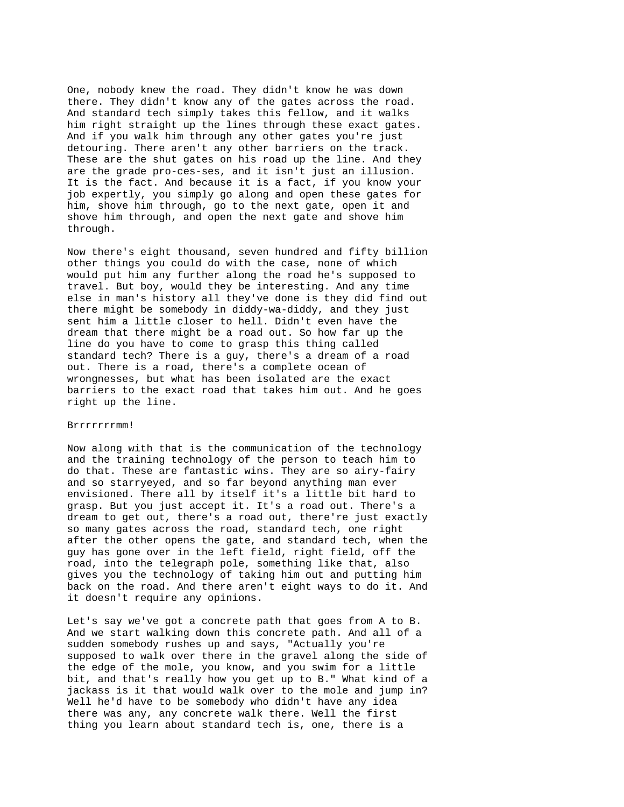One, nobody knew the road. They didn't know he was down there. They didn't know any of the gates across the road. And standard tech simply takes this fellow, and it walks him right straight up the lines through these exact gates. And if you walk him through any other gates you're just detouring. There aren't any other barriers on the track. These are the shut gates on his road up the line. And they are the grade pro-ces-ses, and it isn't just an illusion. It is the fact. And because it is a fact, if you know your job expertly, you simply go along and open these gates for him, shove him through, go to the next gate, open it and shove him through, and open the next gate and shove him through.

Now there's eight thousand, seven hundred and fifty billion other things you could do with the case, none of which would put him any further along the road he's supposed to travel. But boy, would they be interesting. And any time else in man's history all they've done is they did find out there might be somebody in diddy-wa-diddy, and they just sent him a little closer to hell. Didn't even have the dream that there might be a road out. So how far up the line do you have to come to grasp this thing called standard tech? There is a guy, there's a dream of a road out. There is a road, there's a complete ocean of wrongnesses, but what has been isolated are the exact barriers to the exact road that takes him out. And he goes right up the line.

## Brrrrrrrmm!

Now along with that is the communication of the technology and the training technology of the person to teach him to do that. These are fantastic wins. They are so airy-fairy and so starryeyed, and so far beyond anything man ever envisioned. There all by itself it's a little bit hard to grasp. But you just accept it. It's a road out. There's a dream to get out, there's a road out, there're just exactly so many gates across the road, standard tech, one right after the other opens the gate, and standard tech, when the guy has gone over in the left field, right field, off the road, into the telegraph pole, something like that, also gives you the technology of taking him out and putting him back on the road. And there aren't eight ways to do it. And it doesn't require any opinions.

Let's say we've got a concrete path that goes from A to B. And we start walking down this concrete path. And all of a sudden somebody rushes up and says, "Actually you're supposed to walk over there in the gravel along the side of the edge of the mole, you know, and you swim for a little bit, and that's really how you get up to B." What kind of a jackass is it that would walk over to the mole and jump in? Well he'd have to be somebody who didn't have any idea there was any, any concrete walk there. Well the first thing you learn about standard tech is, one, there is a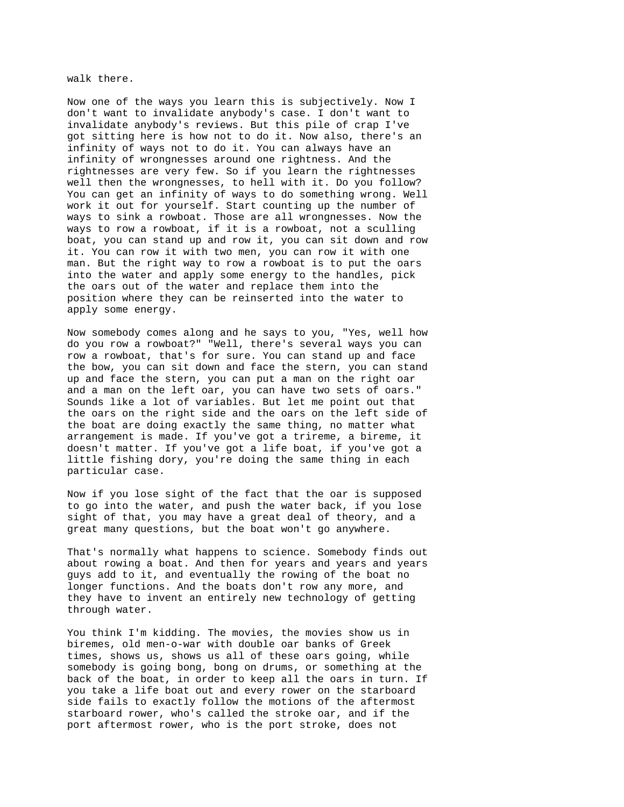walk there.

Now one of the ways you learn this is subjectively. Now I don't want to invalidate anybody's case. I don't want to invalidate anybody's reviews. But this pile of crap I've got sitting here is how not to do it. Now also, there's an infinity of ways not to do it. You can always have an infinity of wrongnesses around one rightness. And the rightnesses are very few. So if you learn the rightnesses well then the wrongnesses, to hell with it. Do you follow? You can get an infinity of ways to do something wrong. Well work it out for yourself. Start counting up the number of ways to sink a rowboat. Those are all wrongnesses. Now the ways to row a rowboat, if it is a rowboat, not a sculling boat, you can stand up and row it, you can sit down and row it. You can row it with two men, you can row it with one man. But the right way to row a rowboat is to put the oars into the water and apply some energy to the handles, pick the oars out of the water and replace them into the position where they can be reinserted into the water to apply some energy.

Now somebody comes along and he says to you, "Yes, well how do you row a rowboat?" "Well, there's several ways you can row a rowboat, that's for sure. You can stand up and face the bow, you can sit down and face the stern, you can stand up and face the stern, you can put a man on the right oar and a man on the left oar, you can have two sets of oars." Sounds like a lot of variables. But let me point out that the oars on the right side and the oars on the left side of the boat are doing exactly the same thing, no matter what arrangement is made. If you've got a trireme, a bireme, it doesn't matter. If you've got a life boat, if you've got a little fishing dory, you're doing the same thing in each particular case.

Now if you lose sight of the fact that the oar is supposed to go into the water, and push the water back, if you lose sight of that, you may have a great deal of theory, and a great many questions, but the boat won't go anywhere.

That's normally what happens to science. Somebody finds out about rowing a boat. And then for years and years and years guys add to it, and eventually the rowing of the boat no longer functions. And the boats don't row any more, and they have to invent an entirely new technology of getting through water.

You think I'm kidding. The movies, the movies show us in biremes, old men-o-war with double oar banks of Greek times, shows us, shows us all of these oars going, while somebody is going bong, bong on drums, or something at the back of the boat, in order to keep all the oars in turn. If you take a life boat out and every rower on the starboard side fails to exactly follow the motions of the aftermost starboard rower, who's called the stroke oar, and if the port aftermost rower, who is the port stroke, does not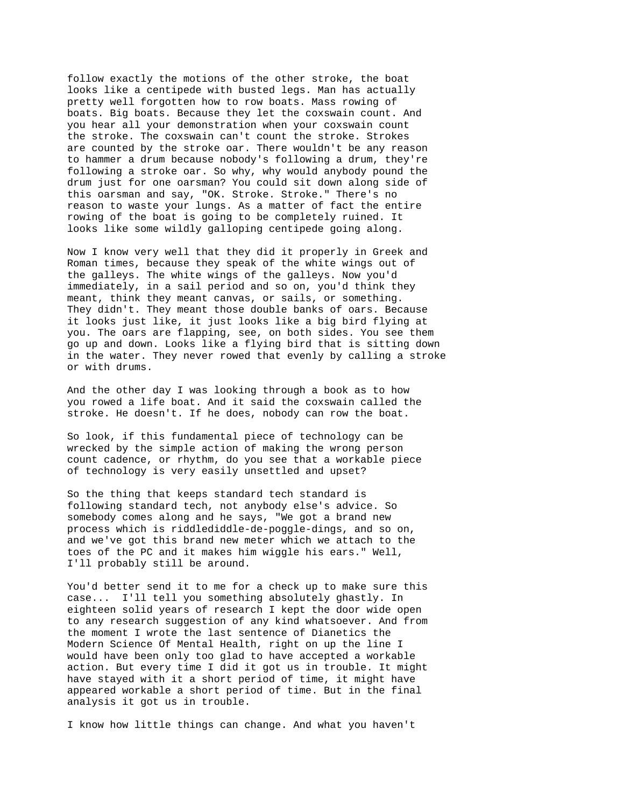follow exactly the motions of the other stroke, the boat looks like a centipede with busted legs. Man has actually pretty well forgotten how to row boats. Mass rowing of boats. Big boats. Because they let the coxswain count. And you hear all your demonstration when your coxswain count the stroke. The coxswain can't count the stroke. Strokes are counted by the stroke oar. There wouldn't be any reason to hammer a drum because nobody's following a drum, they're following a stroke oar. So why, why would anybody pound the drum just for one oarsman? You could sit down along side of this oarsman and say, "OK. Stroke. Stroke." There's no reason to waste your lungs. As a matter of fact the entire rowing of the boat is going to be completely ruined. It looks like some wildly galloping centipede going along.

Now I know very well that they did it properly in Greek and Roman times, because they speak of the white wings out of the galleys. The white wings of the galleys. Now you'd immediately, in a sail period and so on, you'd think they meant, think they meant canvas, or sails, or something. They didn't. They meant those double banks of oars. Because it looks just like, it just looks like a big bird flying at you. The oars are flapping, see, on both sides. You see them go up and down. Looks like a flying bird that is sitting down in the water. They never rowed that evenly by calling a stroke or with drums.

And the other day I was looking through a book as to how you rowed a life boat. And it said the coxswain called the stroke. He doesn't. If he does, nobody can row the boat.

So look, if this fundamental piece of technology can be wrecked by the simple action of making the wrong person count cadence, or rhythm, do you see that a workable piece of technology is very easily unsettled and upset?

So the thing that keeps standard tech standard is following standard tech, not anybody else's advice. So somebody comes along and he says, "We got a brand new process which is riddlediddle-de-poggle-dings, and so on, and we've got this brand new meter which we attach to the toes of the PC and it makes him wiggle his ears." Well, I'll probably still be around.

You'd better send it to me for a check up to make sure this case... I'll tell you something absolutely ghastly. In eighteen solid years of research I kept the door wide open to any research suggestion of any kind whatsoever. And from the moment I wrote the last sentence of Dianetics the Modern Science Of Mental Health, right on up the line I would have been only too glad to have accepted a workable action. But every time I did it got us in trouble. It might have stayed with it a short period of time, it might have appeared workable a short period of time. But in the final analysis it got us in trouble.

I know how little things can change. And what you haven't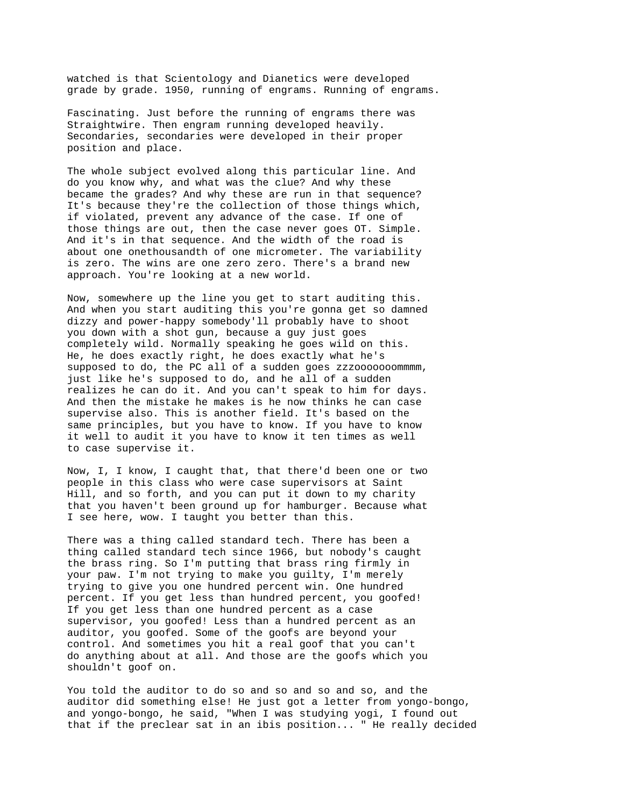watched is that Scientology and Dianetics were developed grade by grade. 1950, running of engrams. Running of engrams.

Fascinating. Just before the running of engrams there was Straightwire. Then engram running developed heavily. Secondaries, secondaries were developed in their proper position and place.

The whole subject evolved along this particular line. And do you know why, and what was the clue? And why these became the grades? And why these are run in that sequence? It's because they're the collection of those things which, if violated, prevent any advance of the case. If one of those things are out, then the case never goes OT. Simple. And it's in that sequence. And the width of the road is about one onethousandth of one micrometer. The variability is zero. The wins are one zero zero. There's a brand new approach. You're looking at a new world.

Now, somewhere up the line you get to start auditing this. And when you start auditing this you're gonna get so damned dizzy and power-happy somebody'll probably have to shoot you down with a shot gun, because a guy just goes completely wild. Normally speaking he goes wild on this. He, he does exactly right, he does exactly what he's supposed to do, the PC all of a sudden goes zzzooooooommmm, just like he's supposed to do, and he all of a sudden realizes he can do it. And you can't speak to him for days. And then the mistake he makes is he now thinks he can case supervise also. This is another field. It's based on the same principles, but you have to know. If you have to know it well to audit it you have to know it ten times as well to case supervise it.

Now, I, I know, I caught that, that there'd been one or two people in this class who were case supervisors at Saint Hill, and so forth, and you can put it down to my charity that you haven't been ground up for hamburger. Because what I see here, wow. I taught you better than this.

There was a thing called standard tech. There has been a thing called standard tech since 1966, but nobody's caught the brass ring. So I'm putting that brass ring firmly in your paw. I'm not trying to make you guilty, I'm merely trying to give you one hundred percent win. One hundred percent. If you get less than hundred percent, you goofed! If you get less than one hundred percent as a case supervisor, you goofed! Less than a hundred percent as an auditor, you goofed. Some of the goofs are beyond your control. And sometimes you hit a real goof that you can't do anything about at all. And those are the goofs which you shouldn't goof on.

You told the auditor to do so and so and so and so, and the auditor did something else! He just got a letter from yongo-bongo, and yongo-bongo, he said, "When I was studying yogi, I found out that if the preclear sat in an ibis position... " He really decided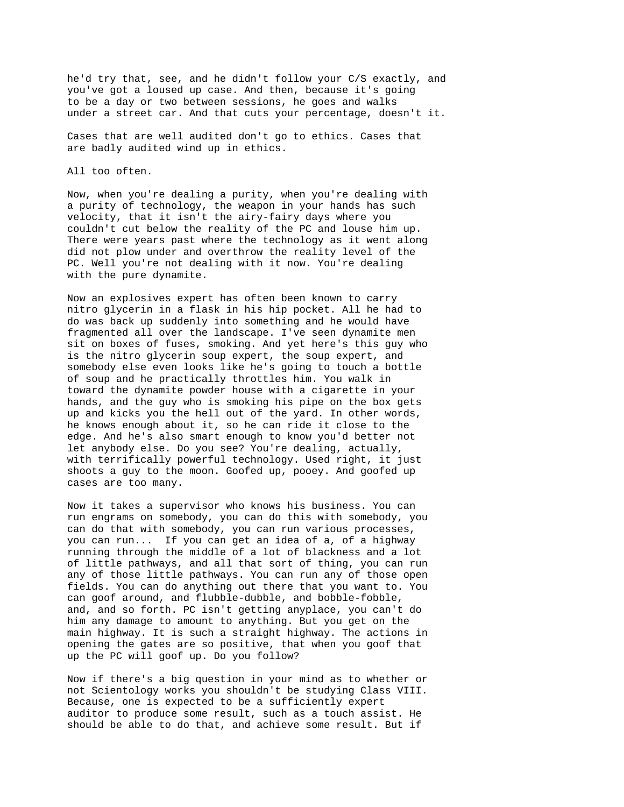he'd try that, see, and he didn't follow your C/S exactly, and you've got a loused up case. And then, because it's going to be a day or two between sessions, he goes and walks under a street car. And that cuts your percentage, doesn't it.

Cases that are well audited don't go to ethics. Cases that are badly audited wind up in ethics.

All too often.

Now, when you're dealing a purity, when you're dealing with a purity of technology, the weapon in your hands has such velocity, that it isn't the airy-fairy days where you couldn't cut below the reality of the PC and louse him up. There were years past where the technology as it went along did not plow under and overthrow the reality level of the PC. Well you're not dealing with it now. You're dealing with the pure dynamite.

Now an explosives expert has often been known to carry nitro glycerin in a flask in his hip pocket. All he had to do was back up suddenly into something and he would have fragmented all over the landscape. I've seen dynamite men sit on boxes of fuses, smoking. And yet here's this guy who is the nitro glycerin soup expert, the soup expert, and somebody else even looks like he's going to touch a bottle of soup and he practically throttles him. You walk in toward the dynamite powder house with a cigarette in your hands, and the guy who is smoking his pipe on the box gets up and kicks you the hell out of the yard. In other words, he knows enough about it, so he can ride it close to the edge. And he's also smart enough to know you'd better not let anybody else. Do you see? You're dealing, actually, with terrifically powerful technology. Used right, it just shoots a guy to the moon. Goofed up, pooey. And goofed up cases are too many.

Now it takes a supervisor who knows his business. You can run engrams on somebody, you can do this with somebody, you can do that with somebody, you can run various processes, you can run... If you can get an idea of a, of a highway running through the middle of a lot of blackness and a lot of little pathways, and all that sort of thing, you can run any of those little pathways. You can run any of those open fields. You can do anything out there that you want to. You can goof around, and flubble-dubble, and bobble-fobble, and, and so forth. PC isn't getting anyplace, you can't do him any damage to amount to anything. But you get on the main highway. It is such a straight highway. The actions in opening the gates are so positive, that when you goof that up the PC will goof up. Do you follow?

Now if there's a big question in your mind as to whether or not Scientology works you shouldn't be studying Class VIII. Because, one is expected to be a sufficiently expert auditor to produce some result, such as a touch assist. He should be able to do that, and achieve some result. But if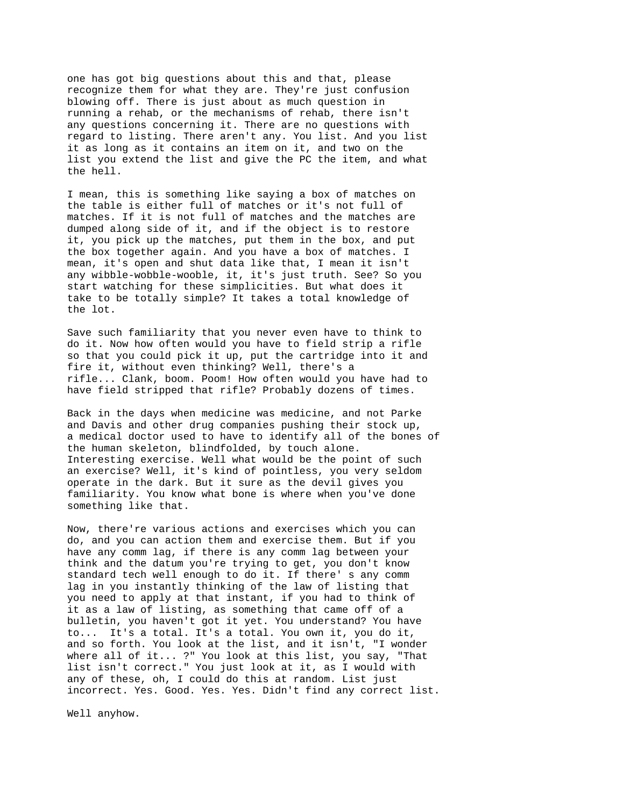one has got big questions about this and that, please recognize them for what they are. They're just confusion blowing off. There is just about as much question in running a rehab, or the mechanisms of rehab, there isn't any questions concerning it. There are no questions with regard to listing. There aren't any. You list. And you list it as long as it contains an item on it, and two on the list you extend the list and give the PC the item, and what the hell.

I mean, this is something like saying a box of matches on the table is either full of matches or it's not full of matches. If it is not full of matches and the matches are dumped along side of it, and if the object is to restore it, you pick up the matches, put them in the box, and put the box together again. And you have a box of matches. I mean, it's open and shut data like that, I mean it isn't any wibble-wobble-wooble, it, it's just truth. See? So you start watching for these simplicities. But what does it take to be totally simple? It takes a total knowledge of the lot.

Save such familiarity that you never even have to think to do it. Now how often would you have to field strip a rifle so that you could pick it up, put the cartridge into it and fire it, without even thinking? Well, there's a rifle... Clank, boom. Poom! How often would you have had to have field stripped that rifle? Probably dozens of times.

Back in the days when medicine was medicine, and not Parke and Davis and other drug companies pushing their stock up, a medical doctor used to have to identify all of the bones of the human skeleton, blindfolded, by touch alone. Interesting exercise. Well what would be the point of such an exercise? Well, it's kind of pointless, you very seldom operate in the dark. But it sure as the devil gives you familiarity. You know what bone is where when you've done something like that.

Now, there're various actions and exercises which you can do, and you can action them and exercise them. But if you have any comm lag, if there is any comm lag between your think and the datum you're trying to get, you don't know standard tech well enough to do it. If there' s any comm lag in you instantly thinking of the law of listing that you need to apply at that instant, if you had to think of it as a law of listing, as something that came off of a bulletin, you haven't got it yet. You understand? You have to... It's a total. It's a total. You own it, you do it, and so forth. You look at the list, and it isn't, "I wonder where all of it... ?" You look at this list, you say, "That list isn't correct." You just look at it, as I would with any of these, oh, I could do this at random. List just incorrect. Yes. Good. Yes. Yes. Didn't find any correct list.

Well anyhow.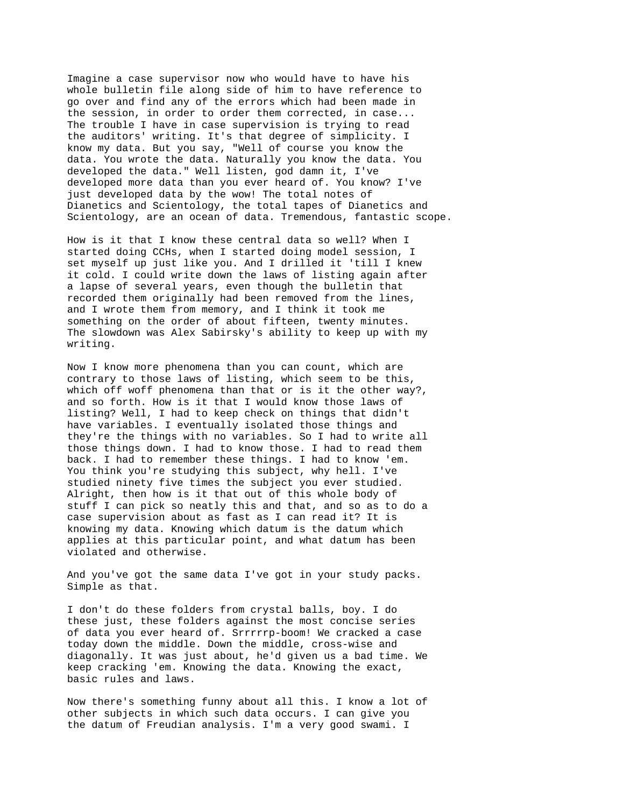Imagine a case supervisor now who would have to have his whole bulletin file along side of him to have reference to go over and find any of the errors which had been made in the session, in order to order them corrected, in case... The trouble I have in case supervision is trying to read the auditors' writing. It's that degree of simplicity. I know my data. But you say, "Well of course you know the data. You wrote the data. Naturally you know the data. You developed the data." Well listen, god damn it, I've developed more data than you ever heard of. You know? I've just developed data by the wow! The total notes of Dianetics and Scientology, the total tapes of Dianetics and Scientology, are an ocean of data. Tremendous, fantastic scope.

How is it that I know these central data so well? When I started doing CCHs, when I started doing model session, I set myself up just like you. And I drilled it 'till I knew it cold. I could write down the laws of listing again after a lapse of several years, even though the bulletin that recorded them originally had been removed from the lines, and I wrote them from memory, and I think it took me something on the order of about fifteen, twenty minutes. The slowdown was Alex Sabirsky's ability to keep up with my writing.

Now I know more phenomena than you can count, which are contrary to those laws of listing, which seem to be this, which off woff phenomena than that or is it the other way?, and so forth. How is it that I would know those laws of listing? Well, I had to keep check on things that didn't have variables. I eventually isolated those things and they're the things with no variables. So I had to write all those things down. I had to know those. I had to read them back. I had to remember these things. I had to know 'em. You think you're studying this subject, why hell. I've studied ninety five times the subject you ever studied. Alright, then how is it that out of this whole body of stuff I can pick so neatly this and that, and so as to do a case supervision about as fast as I can read it? It is knowing my data. Knowing which datum is the datum which applies at this particular point, and what datum has been violated and otherwise.

And you've got the same data I've got in your study packs. Simple as that.

I don't do these folders from crystal balls, boy. I do these just, these folders against the most concise series of data you ever heard of. Srrrrrp-boom! We cracked a case today down the middle. Down the middle, cross-wise and diagonally. It was just about, he'd given us a bad time. We keep cracking 'em. Knowing the data. Knowing the exact, basic rules and laws.

Now there's something funny about all this. I know a lot of other subjects in which such data occurs. I can give you the datum of Freudian analysis. I'm a very good swami. I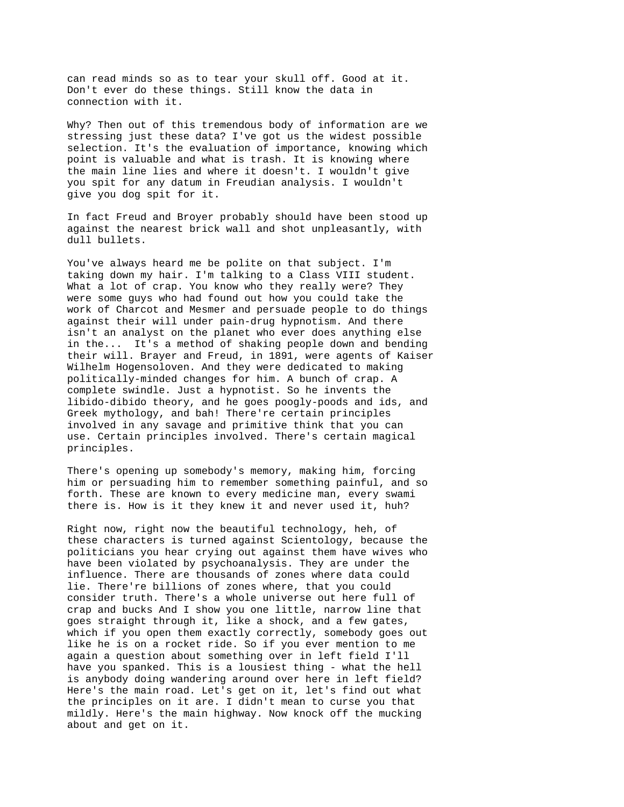can read minds so as to tear your skull off. Good at it. Don't ever do these things. Still know the data in connection with it.

Why? Then out of this tremendous body of information are we stressing just these data? I've got us the widest possible selection. It's the evaluation of importance, knowing which point is valuable and what is trash. It is knowing where the main line lies and where it doesn't. I wouldn't give you spit for any datum in Freudian analysis. I wouldn't give you dog spit for it.

In fact Freud and Broyer probably should have been stood up against the nearest brick wall and shot unpleasantly, with dull bullets.

You've always heard me be polite on that subject. I'm taking down my hair. I'm talking to a Class VIII student. What a lot of crap. You know who they really were? They were some guys who had found out how you could take the work of Charcot and Mesmer and persuade people to do things against their will under pain-drug hypnotism. And there isn't an analyst on the planet who ever does anything else in the... It's a method of shaking people down and bending their will. Brayer and Freud, in 1891, were agents of Kaiser Wilhelm Hogensoloven. And they were dedicated to making politically-minded changes for him. A bunch of crap. A complete swindle. Just a hypnotist. So he invents the libido-dibido theory, and he goes poogly-poods and ids, and Greek mythology, and bah! There're certain principles involved in any savage and primitive think that you can use. Certain principles involved. There's certain magical principles.

There's opening up somebody's memory, making him, forcing him or persuading him to remember something painful, and so forth. These are known to every medicine man, every swami there is. How is it they knew it and never used it, huh?

Right now, right now the beautiful technology, heh, of these characters is turned against Scientology, because the politicians you hear crying out against them have wives who have been violated by psychoanalysis. They are under the influence. There are thousands of zones where data could lie. There're billions of zones where, that you could consider truth. There's a whole universe out here full of crap and bucks And I show you one little, narrow line that goes straight through it, like a shock, and a few gates, which if you open them exactly correctly, somebody goes out like he is on a rocket ride. So if you ever mention to me again a question about something over in left field I'll have you spanked. This is a lousiest thing - what the hell is anybody doing wandering around over here in left field? Here's the main road. Let's get on it, let's find out what the principles on it are. I didn't mean to curse you that mildly. Here's the main highway. Now knock off the mucking about and get on it.